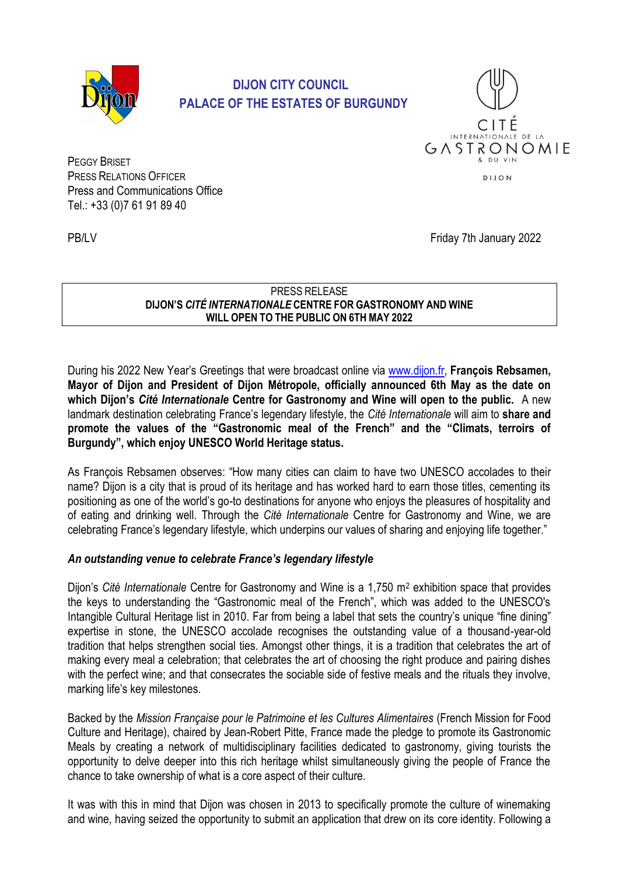

# **DIJON CITY COUNCIL PALACE OF THE ESTATES OF BURGUNDY**



PEGGY BRISET PRESS RELATIONS OFFICER Press and Communications Office Tel.: +33 (0)7 61 91 89 40

PB/LV Friday 7th January 2022

#### PRESS RELEASE **DIJON'S** *CITÉ INTERNATIONALE* **CENTRE FOR GASTRONOMY AND WINE WILL OPEN TO THE PUBLIC ON 6TH MAY 2022**

During his 2022 New Year's Greetings that were broadcast online via [www.dijon.fr,](../../../../../../Desktop/www.dijon.fr) **François Rebsamen, Mayor of Dijon and President of Dijon Métropole, officially announced 6th May as the date on which Dijon's** *Cité Internationale* **Centre for Gastronomy and Wine will open to the public.** A new landmark destination celebrating France's legendary lifestyle, the *Cité Internationale* will aim to **share and promote the values of the "Gastronomic meal of the French" and the "Climats, terroirs of Burgundy", which enjoy UNESCO World Heritage status.**

As François Rebsamen observes: "How many cities can claim to have two UNESCO accolades to their name? Dijon is a city that is proud of its heritage and has worked hard to earn those titles, cementing its positioning as one of the world's go-to destinations for anyone who enjoys the pleasures of hospitality and of eating and drinking well. Through the *Cité Internationale* Centre for Gastronomy and Wine, we are celebrating France's legendary lifestyle, which underpins our values of sharing and enjoying life together."

## *An outstanding venue to celebrate France's legendary lifestyle*

Dijon's *Cité Internationale* Centre for Gastronomy and Wine is a 1,750 m<sup>2</sup> exhibition space that provides the keys to understanding the "Gastronomic meal of the French", which was added to the UNESCO's Intangible Cultural Heritage list in 2010. Far from being a label that sets the country's unique "fine dining" expertise in stone, the UNESCO accolade recognises the outstanding value of a thousand-year-old tradition that helps strengthen social ties. Amongst other things, it is a tradition that celebrates the art of making every meal a celebration; that celebrates the art of choosing the right produce and pairing dishes with the perfect wine; and that consecrates the sociable side of festive meals and the rituals they involve, marking life's key milestones.

Backed by the *Mission Française pour le Patrimoine et les Cultures Alimentaires* (French Mission for Food Culture and Heritage), chaired by Jean-Robert Pitte, France made the pledge to promote its Gastronomic Meals by creating a network of multidisciplinary facilities dedicated to gastronomy, giving tourists the opportunity to delve deeper into this rich heritage whilst simultaneously giving the people of France the chance to take ownership of what is a core aspect of their culture.

It was with this in mind that Dijon was chosen in 2013 to specifically promote the culture of winemaking and wine, having seized the opportunity to submit an application that drew on its core identity. Following a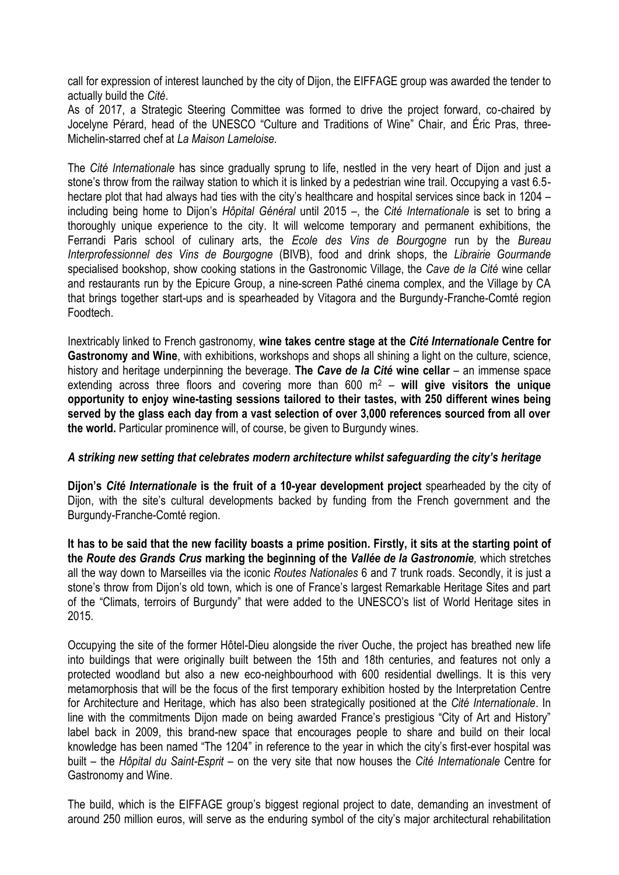call for expression of interest launched by the city of Dijon, the EIFFAGE group was awarded the tender to actually build the *Cité*.

As of 2017, a Strategic Steering Committee was formed to drive the project forward, co-chaired by Jocelyne Pérard, head of the UNESCO "Culture and Traditions of Wine" Chair, and Éric Pras, three-Michelin-starred chef at *La Maison Lameloise.*

The *Cité Internationale* has since gradually sprung to life, nestled in the very heart of Dijon and just a stone's throw from the railway station to which it is linked by a pedestrian wine trail. Occupying a vast 6.5 hectare plot that had always had ties with the city's healthcare and hospital services since back in 1204 – including being home to Dijon's *Hôpital Général* until 2015 –, the *Cité Internationale* is set to bring a thoroughly unique experience to the city. It will welcome temporary and permanent exhibitions, the Ferrandi Paris school of culinary arts, the *Ecole des Vins de Bourgogne* run by the *Bureau Interprofessionnel des Vins de Bourgogne* (BIVB), food and drink shops, the *Librairie Gourmande* specialised bookshop, show cooking stations in the Gastronomic Village, the *Cave de la Cité* wine cellar and restaurants run by the Epicure Group, a nine-screen Pathé cinema complex, and the Village by CA that brings together start-ups and is spearheaded by Vitagora and the Burgundy-Franche-Comté region Foodtech.

Inextricably linked to French gastronomy, **wine takes centre stage at the** *Cité Internationale* **Centre for Gastronomy and Wine**, with exhibitions, workshops and shops all shining a light on the culture, science, history and heritage underpinning the beverage. **The** *Cave de la Cité* **wine cellar** – an immense space extending across three floors and covering more than 600 m<sup>2</sup> – **will give visitors the unique opportunity to enjoy wine-tasting sessions tailored to their tastes, with 250 different wines being served by the glass each day from a vast selection of over 3,000 references sourced from all over the world.** Particular prominence will, of course, be given to Burgundy wines.

### *A striking new setting that celebrates modern architecture whilst safeguarding the city's heritage*

**Dijon's** *Cité Internationale* **is the fruit of a 10-year development project** spearheaded by the city of Dijon, with the site's cultural developments backed by funding from the French government and the Burgundy-Franche-Comté region.

**It has to be said that the new facility boasts a prime position. Firstly, it sits at the starting point of the** *Route des Grands Crus* **marking the beginning of the** *Vallée de la Gastronomie,* which stretches all the way down to Marseilles via the iconic *Routes Nationales* 6 and 7 trunk roads. Secondly, it is just a stone's throw from Dijon's old town, which is one of France's largest Remarkable Heritage Sites and part of the "Climats, terroirs of Burgundy" that were added to the UNESCO's list of World Heritage sites in 2015.

Occupying the site of the former Hôtel-Dieu alongside the river Ouche, the project has breathed new life into buildings that were originally built between the 15th and 18th centuries, and features not only a protected woodland but also a new eco-neighbourhood with 600 residential dwellings. It is this very metamorphosis that will be the focus of the first temporary exhibition hosted by the Interpretation Centre for Architecture and Heritage, which has also been strategically positioned at the *Cité Internationale*. In line with the commitments Dijon made on being awarded France's prestigious "City of Art and History" label back in 2009, this brand-new space that encourages people to share and build on their local knowledge has been named "The 1204" in reference to the year in which the city's first-ever hospital was built – the *Hôpital du Saint-Esprit* – on the very site that now houses the *Cité Internationale* Centre for Gastronomy and Wine.

The build, which is the EIFFAGE group's biggest regional project to date, demanding an investment of around 250 million euros, will serve as the enduring symbol of the city's major architectural rehabilitation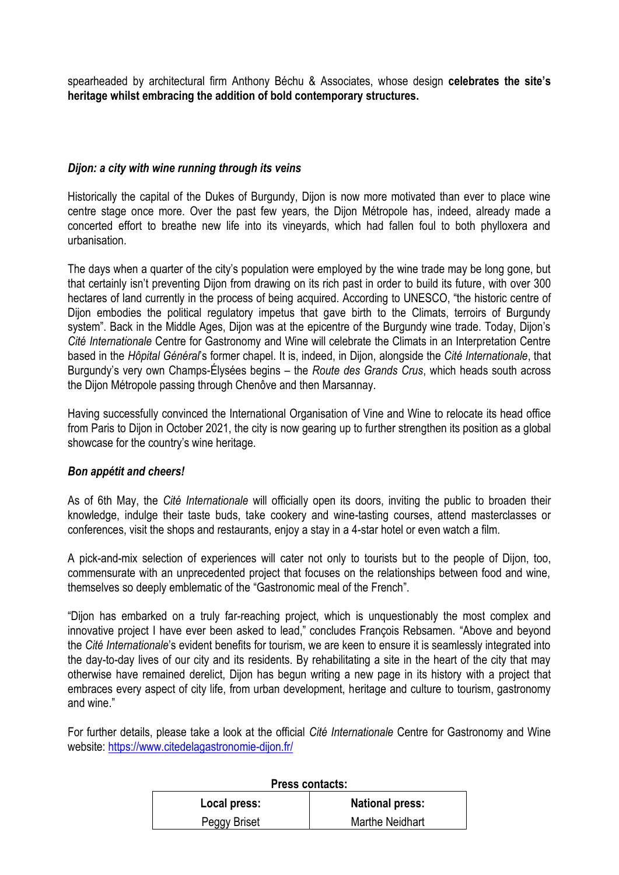spearheaded by architectural firm Anthony Béchu & Associates, whose design **celebrates the site's heritage whilst embracing the addition of bold contemporary structures.**

### *Dijon: a city with wine running through its veins*

Historically the capital of the Dukes of Burgundy, Dijon is now more motivated than ever to place wine centre stage once more. Over the past few years, the Dijon Métropole has, indeed, already made a concerted effort to breathe new life into its vineyards, which had fallen foul to both phylloxera and urbanisation.

The days when a quarter of the city's population were employed by the wine trade may be long gone, but that certainly isn't preventing Dijon from drawing on its rich past in order to build its future, with over 300 hectares of land currently in the process of being acquired. According to UNESCO, "the historic centre of Dijon embodies the political regulatory impetus that gave birth to the Climats, terroirs of Burgundy system". Back in the Middle Ages, Dijon was at the epicentre of the Burgundy wine trade. Today, Dijon's *Cité Internationale* Centre for Gastronomy and Wine will celebrate the Climats in an Interpretation Centre based in the *Hôpital Général*'s former chapel. It is, indeed, in Dijon, alongside the *Cité Internationale*, that Burgundy's very own Champs-Élysées begins – the *Route des Grands Crus*, which heads south across the Dijon Métropole passing through Chenôve and then Marsannay.

Having successfully convinced the International Organisation of Vine and Wine to relocate its head office from Paris to Dijon in October 2021, the city is now gearing up to further strengthen its position as a global showcase for the country's wine heritage.

### *Bon appétit and cheers!*

As of 6th May, the *Cité Internationale* will officially open its doors, inviting the public to broaden their knowledge, indulge their taste buds, take cookery and wine-tasting courses, attend masterclasses or conferences, visit the shops and restaurants, enjoy a stay in a 4-star hotel or even watch a film.

A pick-and-mix selection of experiences will cater not only to tourists but to the people of Dijon, too, commensurate with an unprecedented project that focuses on the relationships between food and wine, themselves so deeply emblematic of the "Gastronomic meal of the French".

"Dijon has embarked on a truly far-reaching project, which is unquestionably the most complex and innovative project I have ever been asked to lead," concludes François Rebsamen. "Above and beyond the *Cité Internationale*'s evident benefits for tourism, we are keen to ensure it is seamlessly integrated into the day-to-day lives of our city and its residents. By rehabilitating a site in the heart of the city that may otherwise have remained derelict, Dijon has begun writing a new page in its history with a project that embraces every aspect of city life, from urban development, heritage and culture to tourism, gastronomy and wine."

For further details, please take a look at the official *Cité Internationale* Centre for Gastronomy and Wine website:<https://www.citedelagastronomie-dijon.fr/>

| Press contacts: |                        |
|-----------------|------------------------|
| Local press:    | <b>National press:</b> |
| Peggy Briset    | <b>Marthe Neidhart</b> |